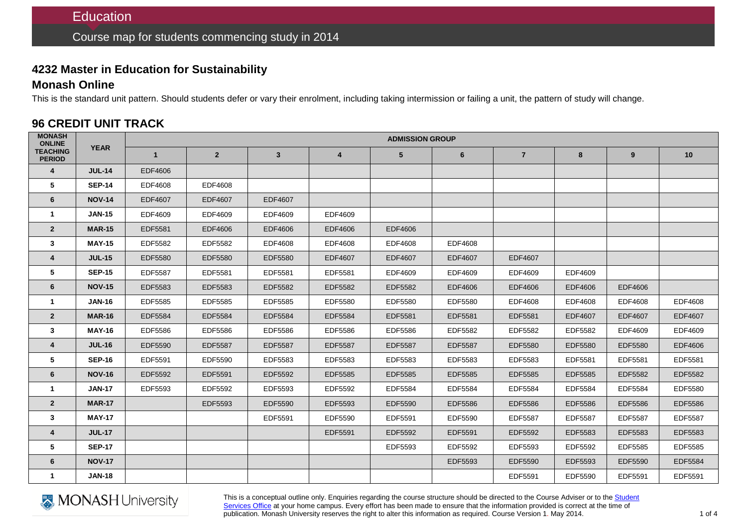## **4232 Master in Education for Sustainability**

### **Monash Online**

This is the standard unit pattern. Should students defer or vary their enrolment, including taking intermission or failing a unit, the pattern of study will change.

## **96 CREDIT UNIT TRACK**

| <b>MONASH</b><br><b>ONLINE</b>   | <b>YEAR</b>   | <b>ADMISSION GROUP</b> |                |              |                |                |                |                |                |         |         |  |
|----------------------------------|---------------|------------------------|----------------|--------------|----------------|----------------|----------------|----------------|----------------|---------|---------|--|
| <b>TEACHING</b><br><b>PERIOD</b> |               | $\mathbf{1}$           | 2 <sup>2</sup> | $\mathbf{3}$ | $\overline{4}$ | 5              | $6\phantom{1}$ | $\overline{7}$ | 8              | 9       | 10      |  |
| 4                                | <b>JUL-14</b> | EDF4606                |                |              |                |                |                |                |                |         |         |  |
| 5                                | <b>SEP-14</b> | EDF4608                | EDF4608        |              |                |                |                |                |                |         |         |  |
| 6                                | <b>NOV-14</b> | EDF4607                | EDF4607        | EDF4607      |                |                |                |                |                |         |         |  |
| $\mathbf{1}$                     | <b>JAN-15</b> | EDF4609                | EDF4609        | EDF4609      | EDF4609        |                |                |                |                |         |         |  |
| $\overline{2}$                   | <b>MAR-15</b> | EDF5581                | EDF4606        | EDF4606      | EDF4606        | EDF4606        |                |                |                |         |         |  |
| 3                                | <b>MAY-15</b> | EDF5582                | EDF5582        | EDF4608      | EDF4608        | EDF4608        | EDF4608        |                |                |         |         |  |
| 4                                | <b>JUL-15</b> | EDF5580                | EDF5580        | EDF5580      | EDF4607        | <b>EDF4607</b> | <b>EDF4607</b> | <b>EDF4607</b> |                |         |         |  |
| 5                                | <b>SEP-15</b> | <b>EDF5587</b>         | EDF5581        | EDF5581      | EDF5581        | EDF4609        | EDF4609        | EDF4609        | EDF4609        |         |         |  |
| 6                                | <b>NOV-15</b> | EDF5583                | EDF5583        | EDF5582      | EDF5582        | EDF5582        | <b>EDF4606</b> | EDF4606        | EDF4606        | EDF4606 |         |  |
| $\mathbf{1}$                     | <b>JAN-16</b> | EDF5585                | EDF5585        | EDF5585      | EDF5580        | EDF5580        | EDF5580        | EDF4608        | EDF4608        | EDF4608 | EDF4608 |  |
| $\overline{2}$                   | <b>MAR-16</b> | EDF5584                | EDF5584        | EDF5584      | EDF5584        | EDF5581        | EDF5581        | EDF5581        | EDF4607        | EDF4607 | EDF4607 |  |
| 3                                | <b>MAY-16</b> | EDF5586                | EDF5586        | EDF5586      | EDF5586        | EDF5586        | EDF5582        | EDF5582        | EDF5582        | EDF4609 | EDF4609 |  |
| $\overline{4}$                   | <b>JUL-16</b> | EDF5590                | <b>EDF5587</b> | EDF5587      | <b>EDF5587</b> | <b>EDF5587</b> | <b>EDF5587</b> | EDF5580        | EDF5580        | EDF5580 | EDF4606 |  |
| 5                                | <b>SEP-16</b> | EDF5591                | EDF5590        | EDF5583      | EDF5583        | EDF5583        | EDF5583        | EDF5583        | EDF5581        | EDF5581 | EDF5581 |  |
| 6                                | <b>NOV-16</b> | EDF5592                | EDF5591        | EDF5592      | EDF5585        | EDF5585        | EDF5585        | EDF5585        | EDF5585        | EDF5582 | EDF5582 |  |
| $\mathbf{1}$                     | <b>JAN-17</b> | EDF5593                | EDF5592        | EDF5593      | EDF5592        | EDF5584        | EDF5584        | EDF5584        | EDF5584        | EDF5584 | EDF5580 |  |
| $\overline{2}$                   | <b>MAR-17</b> |                        | EDF5593        | EDF5590      | EDF5593        | EDF5590        | <b>EDF5586</b> | <b>EDF5586</b> | <b>EDF5586</b> | EDF5586 | EDF5586 |  |
| $\mathbf{3}$                     | <b>MAY-17</b> |                        |                | EDF5591      | EDF5590        | EDF5591        | EDF5590        | <b>EDF5587</b> | EDF5587        | EDF5587 | EDF5587 |  |
| $\overline{\mathbf{4}}$          | <b>JUL-17</b> |                        |                |              | EDF5591        | EDF5592        | EDF5591        | EDF5592        | EDF5583        | EDF5583 | EDF5583 |  |
| $5\phantom{.0}$                  | <b>SEP-17</b> |                        |                |              |                | EDF5593        | EDF5592        | EDF5593        | EDF5592        | EDF5585 | EDF5585 |  |
| 6                                | <b>NOV-17</b> |                        |                |              |                |                | EDF5593        | EDF5590        | EDF5593        | EDF5590 | EDF5584 |  |
| $\mathbf{1}$                     | <b>JAN-18</b> |                        |                |              |                |                |                | EDF5591        | EDF5590        | EDF5591 | EDF5591 |  |



This is a conceptual outline only. Enquiries regarding the course structure should be directed to the Course Adviser or to the Student [Services Office](http://www.education.monash.edu.au/contacts/) at your home campus. Every effort has been made to ensure that the information provided is correct at the time of publication. Monash University reserves the right to alter this information as required. Course Version 1. May 2014.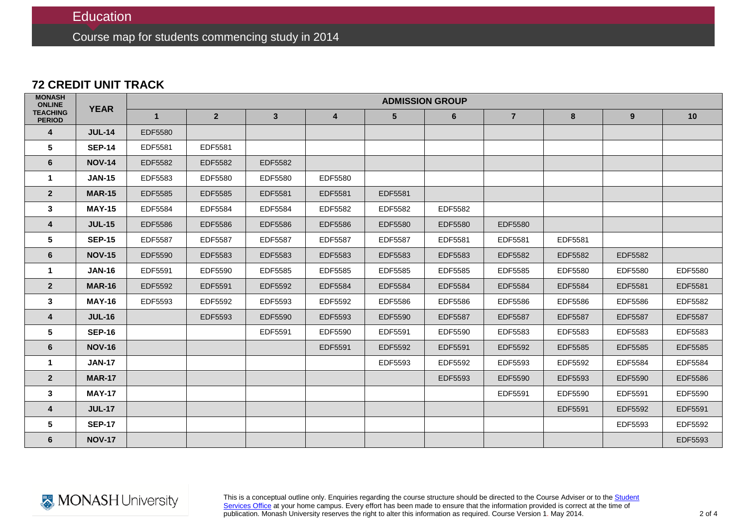Course map for students commencing study in 2014

### **72 CREDIT UNIT TRACK**

| <b>MONASH</b><br><b>ONLINE</b>   | <b>YEAR</b>   | <b>ADMISSION GROUP</b> |                |                |                |                |                |                |                |                |                |  |
|----------------------------------|---------------|------------------------|----------------|----------------|----------------|----------------|----------------|----------------|----------------|----------------|----------------|--|
| <b>TEACHING</b><br><b>PERIOD</b> |               | $\mathbf{1}$           | $2^{\circ}$    | 3 <sup>1</sup> | 4              | $5\phantom{1}$ | $6\phantom{1}$ | $\overline{7}$ | 8              | 9 <sup>°</sup> | 10             |  |
| $\overline{4}$                   | <b>JUL-14</b> | <b>EDF5580</b>         |                |                |                |                |                |                |                |                |                |  |
| $5\phantom{.0}$                  | <b>SEP-14</b> | EDF5581                | EDF5581        |                |                |                |                |                |                |                |                |  |
| 6                                | <b>NOV-14</b> | EDF5582                | EDF5582        | EDF5582        |                |                |                |                |                |                |                |  |
| $\mathbf{1}$                     | <b>JAN-15</b> | EDF5583                | EDF5580        | EDF5580        | EDF5580        |                |                |                |                |                |                |  |
| $\overline{2}$                   | <b>MAR-15</b> | EDF5585                | EDF5585        | EDF5581        | EDF5581        | EDF5581        |                |                |                |                |                |  |
| 3                                | <b>MAY-15</b> | EDF5584                | EDF5584        | EDF5584        | EDF5582        | EDF5582        | EDF5582        |                |                |                |                |  |
| 4                                | <b>JUL-15</b> | EDF5586                | EDF5586        | <b>EDF5586</b> | <b>EDF5586</b> | EDF5580        | EDF5580        | <b>EDF5580</b> |                |                |                |  |
| 5                                | <b>SEP-15</b> | <b>EDF5587</b>         | <b>EDF5587</b> | <b>EDF5587</b> | <b>EDF5587</b> | EDF5587        | EDF5581        | EDF5581        | EDF5581        |                |                |  |
| $6\phantom{1}$                   | <b>NOV-15</b> | EDF5590                | EDF5583        | EDF5583        | EDF5583        | EDF5583        | EDF5583        | EDF5582        | EDF5582        | EDF5582        |                |  |
| -1                               | <b>JAN-16</b> | EDF5591                | EDF5590        | EDF5585        | EDF5585        | EDF5585        | EDF5585        | EDF5585        | EDF5580        | EDF5580        | EDF5580        |  |
| $\overline{2}$                   | <b>MAR-16</b> | EDF5592                | EDF5591        | EDF5592        | EDF5584        | EDF5584        | EDF5584        | EDF5584        | <b>EDF5584</b> | EDF5581        | EDF5581        |  |
| 3                                | <b>MAY-16</b> | EDF5593                | EDF5592        | EDF5593        | EDF5592        | EDF5586        | EDF5586        | EDF5586        | EDF5586        | EDF5586        | EDF5582        |  |
| 4                                | <b>JUL-16</b> |                        | EDF5593        | EDF5590        | EDF5593        | EDF5590        | <b>EDF5587</b> | <b>EDF5587</b> | <b>EDF5587</b> | <b>EDF5587</b> | <b>EDF5587</b> |  |
| $5\phantom{.0}$                  | <b>SEP-16</b> |                        |                | EDF5591        | EDF5590        | EDF5591        | EDF5590        | EDF5583        | EDF5583        | EDF5583        | EDF5583        |  |
| 6                                | <b>NOV-16</b> |                        |                |                | EDF5591        | EDF5592        | EDF5591        | EDF5592        | EDF5585        | <b>EDF5585</b> | <b>EDF5585</b> |  |
| $\mathbf{1}$                     | <b>JAN-17</b> |                        |                |                |                | EDF5593        | EDF5592        | EDF5593        | EDF5592        | EDF5584        | EDF5584        |  |
| $\overline{2}$                   | <b>MAR-17</b> |                        |                |                |                |                | EDF5593        | EDF5590        | EDF5593        | EDF5590        | <b>EDF5586</b> |  |
| $\mathbf{3}$                     | <b>MAY-17</b> |                        |                |                |                |                |                | EDF5591        | EDF5590        | EDF5591        | EDF5590        |  |
| $\overline{4}$                   | <b>JUL-17</b> |                        |                |                |                |                |                |                | EDF5591        | EDF5592        | EDF5591        |  |
| 5                                | <b>SEP-17</b> |                        |                |                |                |                |                |                |                | EDF5593        | EDF5592        |  |
| 6                                | <b>NOV-17</b> |                        |                |                |                |                |                |                |                |                | EDF5593        |  |

This is a conceptual outline only. Enquiries regarding the course structure should be directed to the Course Adviser or to the <u>Student</u> [Services Office](http://www.education.monash.edu.au/contacts/) at your home campus. Every effort has been made to ensure that the information provided is correct at the time of publication. Monash University reserves the right to alter this information as required. Course Version 1. May 2014.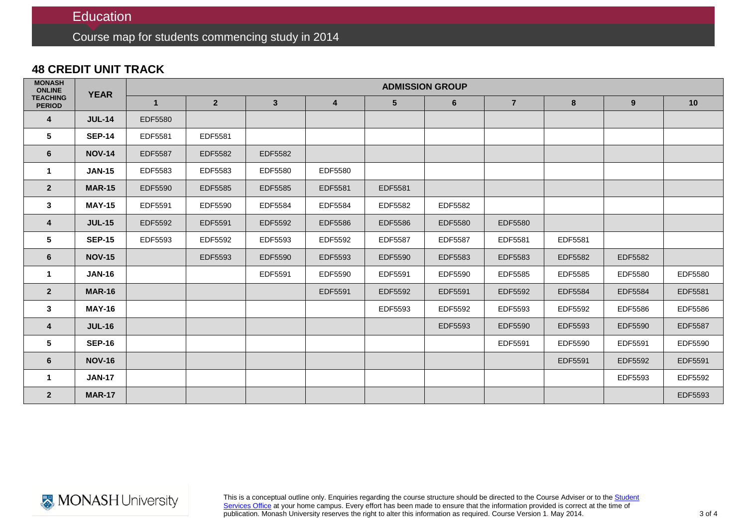# **Education**

Course map for students commencing study in 2014

## **48 CREDIT UNIT TRACK**

| <b>MONASH</b><br><b>ONLINE</b>   | <b>YEAR</b>   | <b>ADMISSION GROUP</b> |                |                |                |                |                |                |         |         |                |  |
|----------------------------------|---------------|------------------------|----------------|----------------|----------------|----------------|----------------|----------------|---------|---------|----------------|--|
| <b>TEACHING</b><br><b>PERIOD</b> |               | $\mathbf{1}$           | $\overline{2}$ | 3 <sup>1</sup> | 4              | 5              | 6              | $\overline{7}$ | 8       | 9       | 10             |  |
| $\overline{4}$                   | <b>JUL-14</b> | EDF5580                |                |                |                |                |                |                |         |         |                |  |
| 5                                | <b>SEP-14</b> | EDF5581                | EDF5581        |                |                |                |                |                |         |         |                |  |
| 6                                | <b>NOV-14</b> | <b>EDF5587</b>         | EDF5582        | EDF5582        |                |                |                |                |         |         |                |  |
|                                  | <b>JAN-15</b> | EDF5583                | EDF5583        | EDF5580        | EDF5580        |                |                |                |         |         |                |  |
| $\overline{2}$                   | <b>MAR-15</b> | EDF5590                | EDF5585        | EDF5585        | EDF5581        | EDF5581        |                |                |         |         |                |  |
| $\mathbf{3}$                     | <b>MAY-15</b> | EDF5591                | EDF5590        | EDF5584        | EDF5584        | EDF5582        | EDF5582        |                |         |         |                |  |
| $\overline{4}$                   | <b>JUL-15</b> | EDF5592                | EDF5591        | EDF5592        | <b>EDF5586</b> | <b>EDF5586</b> | EDF5580        | <b>EDF5580</b> |         |         |                |  |
| 5                                | <b>SEP-15</b> | EDF5593                | EDF5592        | EDF5593        | EDF5592        | <b>EDF5587</b> | <b>EDF5587</b> | EDF5581        | EDF5581 |         |                |  |
| 6                                | <b>NOV-15</b> |                        | EDF5593        | EDF5590        | EDF5593        | <b>EDF5590</b> | EDF5583        | EDF5583        | EDF5582 | EDF5582 |                |  |
| -1                               | <b>JAN-16</b> |                        |                | EDF5591        | EDF5590        | EDF5591        | EDF5590        | EDF5585        | EDF5585 | EDF5580 | EDF5580        |  |
| $\overline{2}$                   | <b>MAR-16</b> |                        |                |                | EDF5591        | EDF5592        | EDF5591        | EDF5592        | EDF5584 | EDF5584 | EDF5581        |  |
| $\mathbf{3}$                     | <b>MAY-16</b> |                        |                |                |                | EDF5593        | EDF5592        | EDF5593        | EDF5592 | EDF5586 | <b>EDF5586</b> |  |
| $\overline{4}$                   | <b>JUL-16</b> |                        |                |                |                |                | EDF5593        | EDF5590        | EDF5593 | EDF5590 | <b>EDF5587</b> |  |
| 5                                | <b>SEP-16</b> |                        |                |                |                |                |                | EDF5591        | EDF5590 | EDF5591 | EDF5590        |  |
| 6                                | <b>NOV-16</b> |                        |                |                |                |                |                |                | EDF5591 | EDF5592 | EDF5591        |  |
| $\mathbf 1$                      | <b>JAN-17</b> |                        |                |                |                |                |                |                |         | EDF5593 | EDF5592        |  |
| $\overline{2}$                   | <b>MAR-17</b> |                        |                |                |                |                |                |                |         |         | EDF5593        |  |



This is a conceptual outline only. Enquiries regarding the course structure should be directed to the Course Adviser or to the <u>Student</u> [Services Office](http://www.education.monash.edu.au/contacts/) at your home campus. Every effort has been made to ensure that the information provided is correct at the time of publication. Monash University reserves the right to alter this information as required. Course Version 1. May 2014.